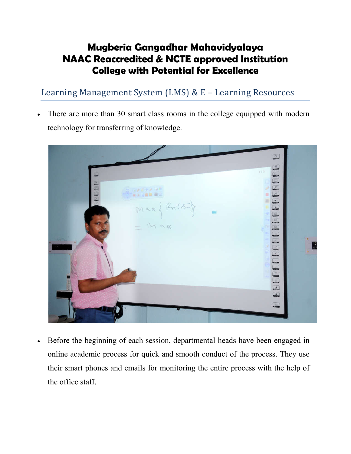## **Mugberia Gangadhar Mahavidyalaya NAAC Reaccredited & NCTE approved Institution College with Potential for Excellence**

Learning Management System (LMS) & E – Learning Resources

 There are more than 30 smart class rooms in the college equipped with modern technology for transferring of knowledge.



 Before the beginning of each session, departmental heads have been engaged in online academic process for quick and smooth conduct of the process. They use their smart phones and emails for monitoring the entire process with the help of the office staff.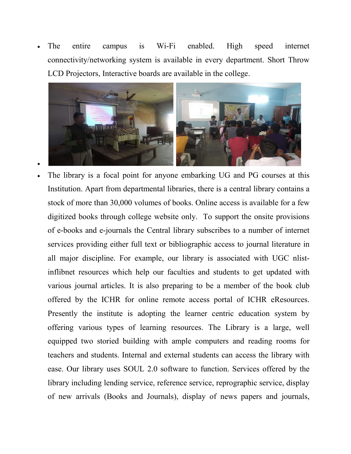The entire campus is Wi-Fi enabled. High speed internet connectivity/networking system is available in every department. Short Throw LCD Projectors, Interactive boards are available in the college.



 $\bullet$ 

 The library is a focal point for anyone embarking UG and PG courses at this Institution. Apart from departmental libraries, there is a central library contains a stock of more than 30,000 volumes of books. Online access is available for a few digitized books through college website only. To support the onsite provisions of e-books and e-journals the Central library subscribes to a number of internet services providing either full text or bibliographic access to journal literature in all major discipline. For example, our library is associated with UGC nlistinflibnet resources which help our faculties and students to get updated with various journal articles. It is also preparing to be a member of the book club offered by the ICHR for online remote access portal of ICHR eResources. Presently the institute is adopting the learner centric education system by offering various types of learning resources. The Library is a large, well equipped two storied building with ample computers and reading rooms for teachers and students. Internal and external students can access the library with ease. Our library uses SOUL 2.0 software to function. Services offered by the library including lending service, reference service, reprographic service, display of new arrivals (Books and Journals), display of news papers and journals,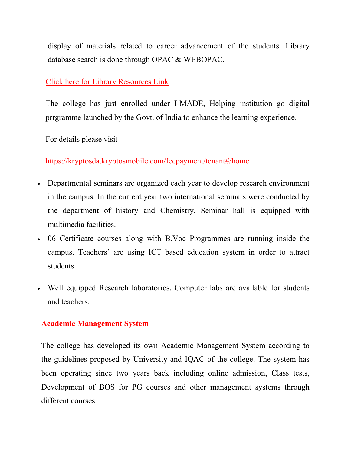display of materials related to career advancement of the students. Library database search is done through OPAC & WEBOPAC.

## [Click here for Library Resources Link](http://mugberiaopac.aadijatechnologies.com/)

The college has just enrolled under I-MADE, Helping institution go digital prrgramme launched by the Govt. of India to enhance the learning experience.

For details please visit

[https://kryptosda.kryptosmobile.com/feepayment/tenant#/home](https://kryptosda.kryptosmobile.com/feepayment/tenant%23/home)

- Departmental seminars are organized each year to develop research environment in the campus. In the current year two international seminars were conducted by the department of history and Chemistry. Seminar hall is equipped with multimedia facilities.
- 06 Certificate courses along with B.Voc Programmes are running inside the campus. Teachers' are using ICT based education system in order to attract students.
- Well equipped Research laboratories, Computer labs are available for students and teachers.

## **Academic Management System**

The college has developed its own Academic Management System according to the guidelines proposed by University and IQAC of the college. The system has been operating since two years back including online admission, Class tests, Development of BOS for PG courses and other management systems through different courses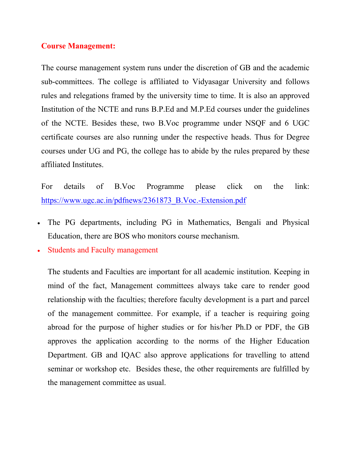## **Course Management:**

The course management system runs under the discretion of GB and the academic sub-committees. The college is affiliated to Vidyasagar University and follows rules and relegations framed by the university time to time. It is also an approved Institution of the NCTE and runs B.P.Ed and M.P.Ed courses under the guidelines of the NCTE. Besides these, two B.Voc programme under NSQF and 6 UGC certificate courses are also running under the respective heads. Thus for Degree courses under UG and PG, the college has to abide by the rules prepared by these affiliated Institutes.

For details of B.Voc Programme please click on the link: [https://www.ugc.ac.in/pdfnews/2361873\\_B.Voc.-Extension.pdf](https://www.ugc.ac.in/pdfnews/2361873_B.Voc.-Extension.pdf)

- The PG departments, including PG in Mathematics, Bengali and Physical Education, there are BOS who monitors course mechanism.
- Students and Faculty management

The students and Faculties are important for all academic institution. Keeping in mind of the fact, Management committees always take care to render good relationship with the faculties; therefore faculty development is a part and parcel of the management committee. For example, if a teacher is requiring going abroad for the purpose of higher studies or for his/her Ph.D or PDF, the GB approves the application according to the norms of the Higher Education Department. GB and IQAC also approve applications for travelling to attend seminar or workshop etc. Besides these, the other requirements are fulfilled by the management committee as usual.